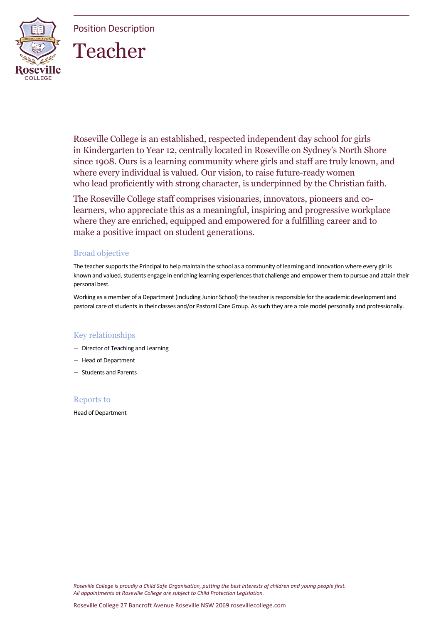Position Description



# Teacher

Roseville College is an established, respected independent day school for girls in Kindergarten to Year 12, centrally located in Roseville on Sydney's North Shore since 1908. Ours is a learning community where girls and staff are truly known, and where every individual is valued. Our vision, to raise future-ready women who lead proficiently with strong character, is underpinned by the Christian faith.

The Roseville College staff comprises visionaries, innovators, pioneers and colearners, who appreciate this as a meaningful, inspiring and progressive workplace where they are enriched, equipped and empowered for a fulfilling career and to make a positive impact on student generations.

# Broad objective

The teacher supports the Principal to help maintain the school as a community of learning and innovation where every girl is known and valued, students engage in enriching learning experiences that challenge and empower them to pursue and attain their personal best.

Working as a member of a Department (including Junior School) the teacher is responsible for the academic development and pastoral care of students in their classes and/or Pastoral Care Group. As such they are a role model personally and professionally.

# Key relationships

- Director of Teaching and Learning
- Head of Department
- Students and Parents

# Reports to

Head of Department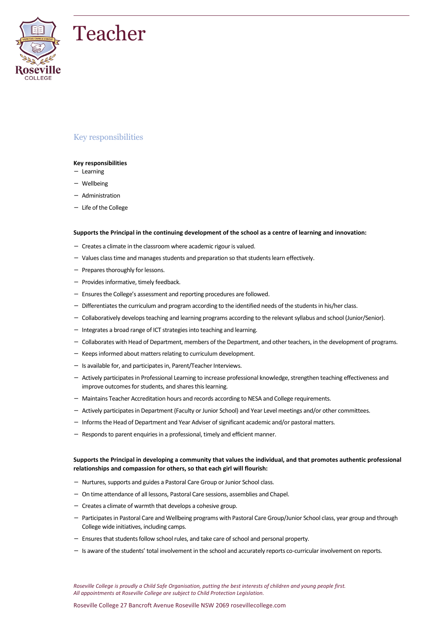



#### **Key responsibilities**

- Learning
- Wellbeing
- Administration
- Life of the College

#### **Supports the Principal in the continuing development of the school as a centre of learning and innovation:**

- Creates a climate in the classroom where academic rigour is valued.
- Values class time and manages students and preparation so that students learn effectively.
- Prepares thoroughly for lessons.
- Provides informative, timely feedback.
- Ensures the College's assessment and reporting procedures are followed.
- Differentiates the curriculum and program according to the identified needs of the students in his/her class.
- Collaboratively develops teaching and learning programs according to the relevant syllabus and school (Junior/Senior).
- Integrates a broad range of ICT strategies into teaching and learning.
- Collaborates with Head of Department, members of the Department, and other teachers, in the development of programs.
- Keeps informed about matters relating to curriculum development.
- Is available for, and participates in, Parent/Teacher Interviews.
- Actively participates in Professional Learning to increase professional knowledge, strengthen teaching effectiveness and improve outcomes for students, and shares this learning.
- Maintains Teacher Accreditation hours and records according to NESA and College requirements.
- Actively participates in Department (Faculty or Junior School) and Year Level meetings and/or other committees.
- Informs the Head of Department and Year Adviser of significant academic and/or pastoral matters.
- Responds to parent enquiries in a professional, timely and efficient manner.

#### **Supports the Principal in developing a community that values the individual, and that promotes authentic professional relationships and compassion for others, so that each girl will flourish:**

- Nurtures, supports and guides a Pastoral Care Group or Junior School class.
- On time attendance of all lessons, Pastoral Care sessions, assemblies and Chapel.
- Creates a climate of warmth that develops a cohesive group.
- Participates in Pastoral Care and Wellbeing programs with Pastoral Care Group/Junior School class, year group and through College wide initiatives, including camps.
- Ensures that students follow school rules, and take care of school and personal property.
- Is aware of the students' total involvement in the school and accurately reports co-curricular involvement on reports.

*Roseville College is proudly a Child Safe Organisation, putting the best interests of children and young people first. All appointments at Roseville College are subject to Child Protection Legislation.*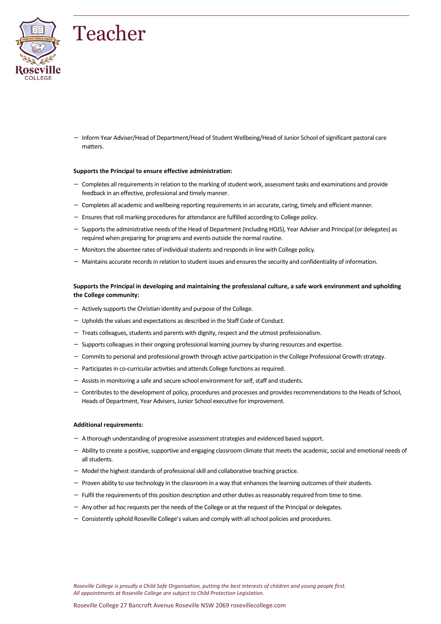

– Inform Year Adviser/Head of Department/Head of Student Wellbeing/Head of Junior School of significant pastoral care matters.

#### **Supports the Principal to ensure effective administration:**

- Completes all requirements in relation to the marking of student work, assessment tasks and examinations and provide feedback in an effective, professional and timely manner.
- Completes all academic and wellbeing reporting requirements in an accurate, caring, timely and efficient manner.
- Ensures that roll marking procedures for attendance are fulfilled according to College policy.
- Supports the administrative needs of the Head of Department (Including HOJS), Year Adviser and Principal (or delegates) as required when preparing for programs and events outside the normal routine.
- Monitors the absentee rates of individual students and responds in line with College policy.
- Maintains accurate records in relation to student issues and ensures the security and confidentiality of information.

#### **Supports the Principal in developing and maintaining the professional culture, a safe work environment and upholding the College community:**

- Actively supports the Christian identity and purpose of the College.
- Upholds the values and expectations as described in the Staff Code of Conduct.
- Treats colleagues, students and parents with dignity, respect and the utmost professionalism.
- Supports colleagues in their ongoing professional learning journey by sharing resources and expertise.
- Commits to personal and professional growth through active participation in the College Professional Growth strategy.
- Participates in co-curricular activities and attends College functions as required.
- Assists in monitoring a safe and secure school environment for self, staff and students.
- Contributes to the development of policy, procedures and processes and provides recommendations to the Heads of School, Heads of Department, Year Advisers, Junior School executive for improvement.

#### **Additional requirements:**

- A thorough understanding of progressive assessment strategies and evidenced based support.
- Ability to create a positive, supportive and engaging classroom climate that meets the academic, social and emotional needs of all students.
- Model the highest standards of professional skill and collaborative teaching practice.
- Proven ability to use technology in the classroom in a way that enhances the learning outcomes of their students.
- Fulfil the requirements of this position description and other duties as reasonably required from time to time.
- Any other ad hoc requests per the needs of the College or at the request of the Principal or delegates.
- Consistently uphold Roseville College's values and comply with all school policies and procedures.

*Roseville College is proudly a Child Safe Organisation, putting the best interests of children and young people first. All appointments at Roseville College are subject to Child Protection Legislation.*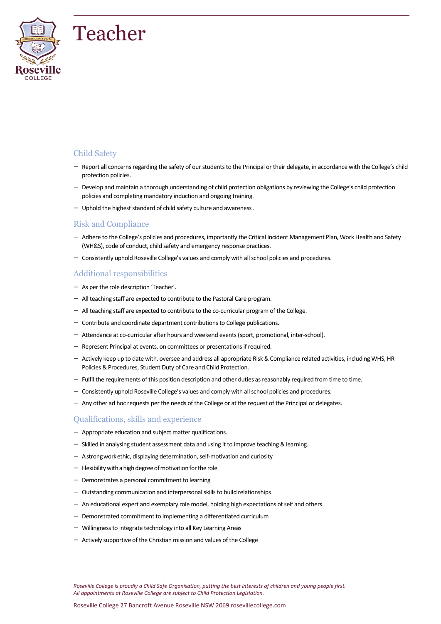

# Child Safety

- Report all concerns regarding the safety of our students to the Principal or their delegate, in accordance with the College's child protection policies.
- Develop and maintain a thorough understanding of child protection obligations by reviewing the College's child protection policies and completing mandatory induction and ongoing training.
- Uphold the highest standard of child safety culture and awareness .

# Risk and Compliance

- Adhere to the College's policies and procedures, importantly the Critical Incident Management Plan, Work Health and Safety (WH&S), code of conduct, child safety and emergency response practices.
- Consistently uphold Roseville College's values and comply with all school policies and procedures.

# Additional responsibilities

- As per the role description 'Teacher'.
- All teaching staff are expected to contribute to the Pastoral Care program.
- All teaching staff are expected to contribute to the co-curricular program of the College.
- Contribute and coordinate department contributions to College publications.
- Attendance at co-curricular after hours and weekend events (sport, promotional, inter-school).
- Represent Principal at events, on committees or presentations if required.
- Actively keep up to date with, oversee and address all appropriate Risk & Compliance related activities, including WHS, HR Policies & Procedures, Student Duty of Care and Child Protection.
- Fulfil the requirements of this position description and other duties as reasonably required from time to time.
- Consistently uphold Roseville College's values and comply with all school policies and procedures.
- Any other ad hoc requests per the needs of the College or at the request of the Principal or delegates.

### Qualifications, skills and experience

- Appropriate education and subject matter qualifications.
- Skilled in analysing student assessment data and using it to improve teaching & learning.
- Astrongworkethic, displaying determination, self-motivation and curiosity
- $-$  Flexibility with a high degree of motivation for the role
- Demonstrates a personal commitment to learning
- Outstanding communication and interpersonal skills to build relationships
- An educational expert and exemplary role model, holding high expectations of self and others.
- Demonstrated commitment to implementing a differentiated curriculum
- Willingness to integrate technology into all Key Learning Areas
- Actively supportive of the Christian mission and values of the College